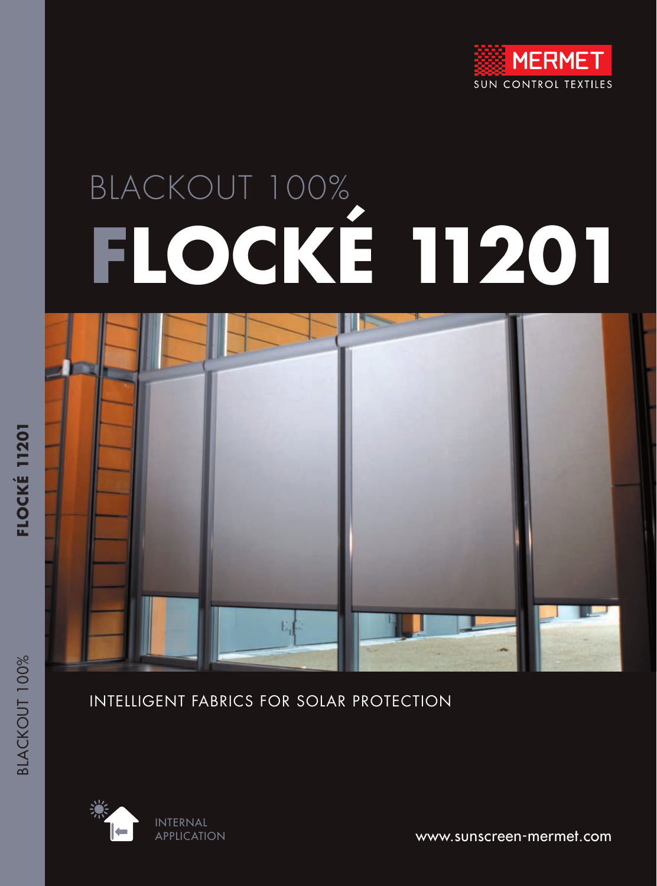

# BLACKOUT 100% **FLOCKÉ 11201**



#### INTELLIGENT FABRICS FOR SOLAR PROTECTION



www.sunscreen-mermet.com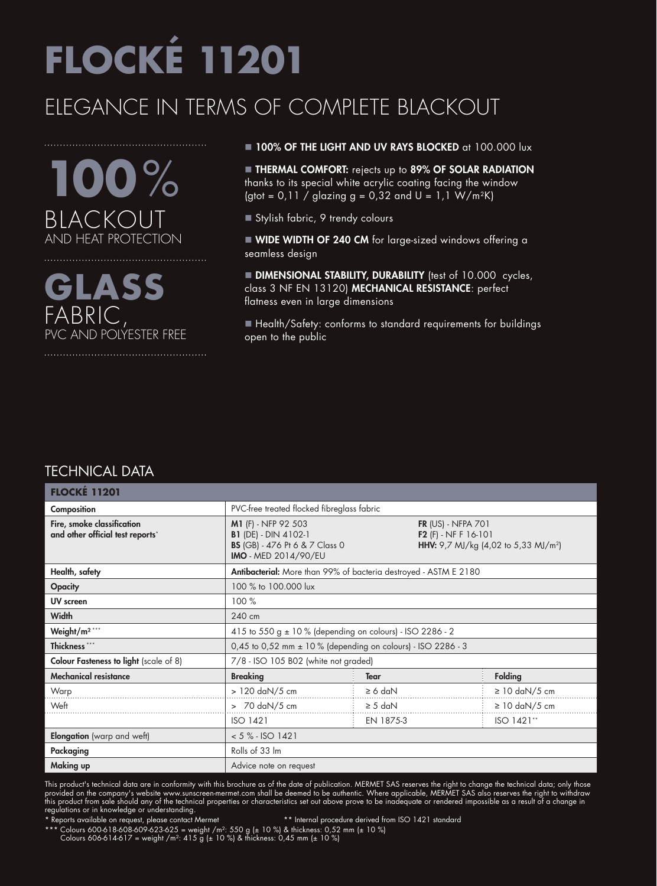## ELEGANCE IN TERMS OF COMPLETE BLACKOUT



### **GLASS** FABRIC, PVC AND POLYESTER FREE

#### $\blacksquare$  100% OF THE LIGHT AND UV RAYS BLOCKED at 100.000 lux

THERMAL COMFORT: rejects up to 89% OF SOLAR RADIATION thanks to its special white acrylic coating facing the window (gtot =  $0,11$  / glazing g =  $0,32$  and U =  $1,1$  W/m<sup>2</sup>K)

Stylish fabric, 9 trendy colours

**NIDE WIDTH OF 240 CM** for large-sized windows offering a seamless design

**DIMENSIONAL STABILITY, DURABILITY** (test of 10.000 cycles, class 3 NF EN 13120) MECHANICAL RESISTANCE: perfect flatness even in large dimensions

n Health/Safety: conforms to standard requirements for buildings open to the public

#### TECHNICAL DATA

| <b>FLOCKÉ 11201</b>                                            |                                                                                                                            |              |                                                                                                         |  |  |
|----------------------------------------------------------------|----------------------------------------------------------------------------------------------------------------------------|--------------|---------------------------------------------------------------------------------------------------------|--|--|
| Composition                                                    | PVC-free treated flocked fibreglass fabric                                                                                 |              |                                                                                                         |  |  |
| Fire, smoke classification<br>and other official test reports* | M1 (F) - NFP 92 503<br><b>B1</b> (DE) - DIN 4102-1<br><b>BS</b> (GB) - 476 Pt 6 & 7 Class 0<br><b>IMO</b> - MED 2014/90/EU |              | <b>FR (US) - NFPA 701</b><br>F2 $(F)$ - NF F 16-101<br>HHV: 9,7 MJ/kg (4,02 to 5,33 MJ/m <sup>2</sup> ) |  |  |
| Health, safety                                                 | <b>Antibacterial:</b> More than 99% of bacteria destroyed - ASTM E 2180                                                    |              |                                                                                                         |  |  |
| <b>Opacity</b>                                                 | 100 % to 100,000 lux                                                                                                       |              |                                                                                                         |  |  |
| UV screen                                                      | 100%                                                                                                                       |              |                                                                                                         |  |  |
| Width                                                          | 240 cm                                                                                                                     |              |                                                                                                         |  |  |
| Weight/m <sup>2 ***</sup>                                      | 415 to 550 g ± 10% (depending on colours) - ISO 2286 - 2                                                                   |              |                                                                                                         |  |  |
| Thickness ***                                                  | 0,45 to 0,52 mm ± 10 % (depending on colours) - ISO 2286 - 3                                                               |              |                                                                                                         |  |  |
| Colour Fasteness to light (scale of 8)                         | 7/8 - ISO 105 B02 (white not graded)                                                                                       |              |                                                                                                         |  |  |
| <b>Mechanical resistance</b>                                   | <b>Breaking</b>                                                                                                            | <b>Tear</b>  | <b>Folding</b>                                                                                          |  |  |
| Warp                                                           | $> 120$ daN/5 cm                                                                                                           | $\geq 6$ daN | $\geq$ 10 daN/5 cm                                                                                      |  |  |
| Weft                                                           | $> 70$ daN/5 cm                                                                                                            | $\geq$ 5 daN | $\geq 10$ daN/5 cm                                                                                      |  |  |
|                                                                | ISO 1421                                                                                                                   | EN 1875-3    | ISO 1421**                                                                                              |  |  |
| <b>Elongation</b> (warp and weft)                              | $< 5$ % - ISO 1421                                                                                                         |              |                                                                                                         |  |  |
| Packaging                                                      | Rolls of 33 Im                                                                                                             |              |                                                                                                         |  |  |
| Making up                                                      | Advice note on request                                                                                                     |              |                                                                                                         |  |  |

This product's technical data are in conformity with this brochure as of the date of publication. MERMET SAS reserves the right to change the technical data; only those provided on the company's website www.sunscreen-mermet.com shall be deemed to be authentic. Where applicable, MERMET SAS also reserves the right to withdraw this product from sale should any of the technical properties or characteristics set out above prove to be inadequate or rendered impossible as a result of a change in regulations or in knowledge or understanding.

\* Reports available on request, please contact Mermet \*\* Internal procedure derived from ISO 1421 standard

\*\*\* Colours 600-618-608-609-623-625 = weight /m²: 550 g (± 10 %) & thickness: 0,52 mm (± 10 %)

Colours 606-614-617 = weight /m²: 415 g (± 10 %) & thickness: 0,45 mm (± 10 %)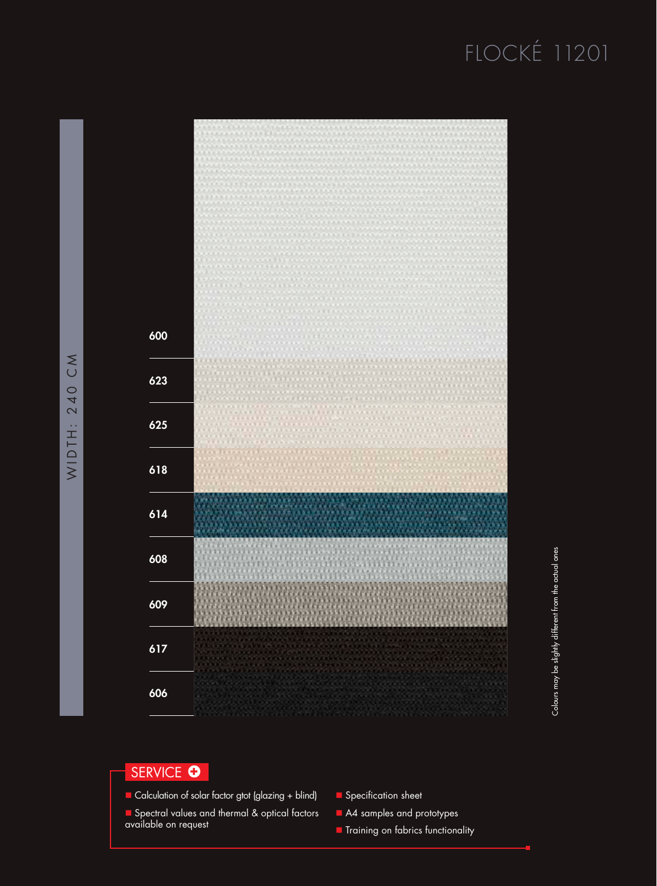

Colours may be slightly different from the actual ones Colours may be slightly different from the actual ones

#### SERVICE O

- Calculation of solar factor gtot (glazing + blind)
- Spectral values and thermal & optical factors available on request
- **n** Specification sheet
- A4 samples and prototypes
- **n** Training on fabrics functionality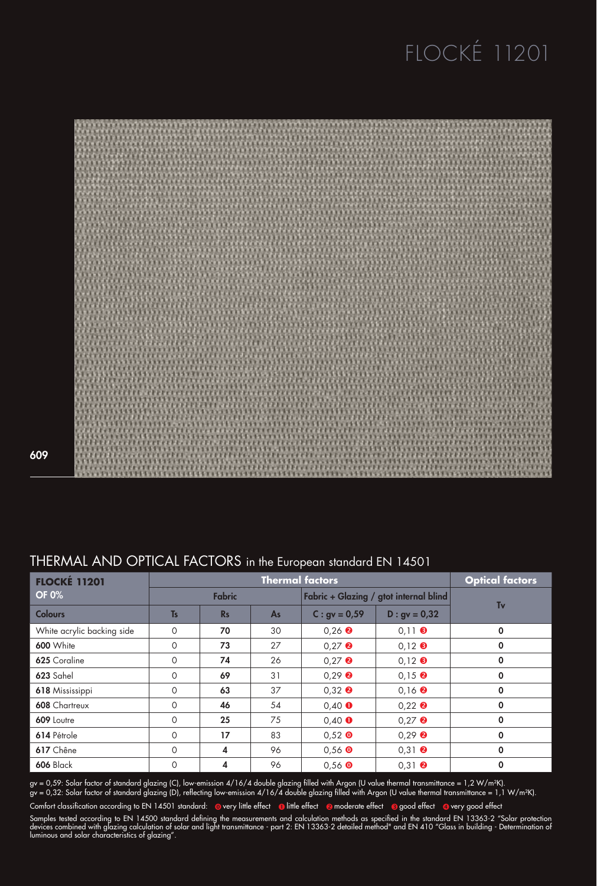

609

#### THERMAL AND OPTICAL FACTORS in the European standard EN 14501

| <b>FLOCKÉ 11201</b>        | <b>Thermal factors</b> |    |                                        |                                  |                                  | <b>Optical factors</b> |
|----------------------------|------------------------|----|----------------------------------------|----------------------------------|----------------------------------|------------------------|
| <b>OF 0%</b>               | <b>Fabric</b>          |    | Fabric + Glazing / gtot internal blind |                                  | Tv                               |                        |
| <b>Colours</b>             | <b>T<sub>s</sub></b>   | Rs | <b>As</b>                              | $C:$ gv = 0,59                   | $D : gv = 0,32$                  |                        |
| White acrylic backing side | $\Omega$               | 70 | 30                                     | $0.26$ <b><math>\odot</math></b> | $0,11$ $\odot$                   | $\mathbf 0$            |
| 600 White                  | $\circ$                | 73 | 27                                     | $0.27$ <b><math>\odot</math></b> | $0,12$ $\bullet$                 | 0                      |
| 625 Coraline               | $\Omega$               | 74 | 26                                     | $0,27$ $\bullet$                 | $0,12$ $\Theta$                  | 0                      |
| 623 Sahel                  | $\circ$                | 69 | 31                                     | $0.29$ <b><math>\odot</math></b> | $0,15$ $\bullet$                 | $\mathbf 0$            |
| 618 Mississippi            | $\Omega$               | 63 | 37                                     | $0,32$ <b><math>\odot</math></b> | $0,16$ $\odot$                   | 0                      |
| 608 Chartreux              | $\Omega$               | 46 | 54                                     | $0,40$ $\bullet$                 | $0.22$ <b><math>\odot</math></b> | $\mathbf 0$            |
| 609 Loutre                 | 0                      | 25 | 75                                     | $0.40$ $\bullet$                 | $0.27$ <b><math>\odot</math></b> | $\mathbf 0$            |
| 614 Pétrole                | $\Omega$               | 17 | 83                                     | $0.52$ O                         | $0.29$ <b><math>\odot</math></b> | $\mathbf 0$            |
| 617 Chêne                  | $\Omega$               | 4  | 96                                     | $0.56$ O                         | $0.31$ $\odot$                   | 0                      |
| <b>606 Black</b>           | $\Omega$               | 4  | 96                                     | $0.56$ O                         | $0.31$ $\odot$                   | 0                      |

gv = 0,59: Solar factor of standard glazing (C), low-emission 4/16/4 double glazing filled with Argon (U value thermal transmittance = 1,2 W/m²K). gv = 0,32: Solar factor of standard glazing (D), reflecting low-emission 4/16/4 double glazing filled with Argon (U value thermal transmittance = 1,1 W/m²K).

Samples tested according to EN 14500 standard defining the measurements and calculation methods as specified in the standard EN 13363-2 "Solar protection devices combined with glazing calculation of solar and light transmittance - part 2: EN 13363-2 detailed method" and EN 410 "Glass in building - Determination of luminous and solar characteristics of glazing". Comfort classification according to EN 14501 standard: @very little effect @little effect @moderate effect @good effect @very good effect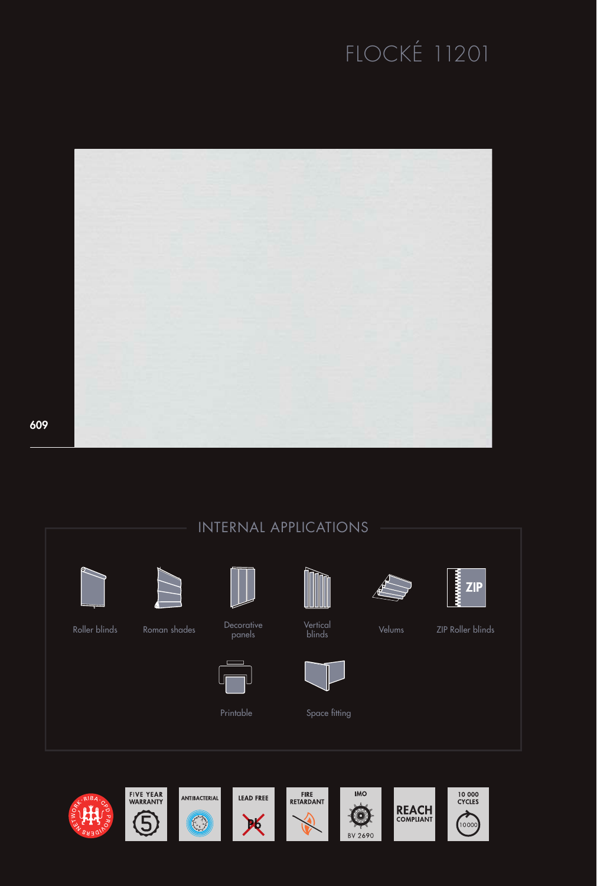







**LEAD FREE**  $\cancel{1}$ 



 $\mathsf{IMO}$ 0 **BV 2690** 

**REACH**<br>COMPLIANT